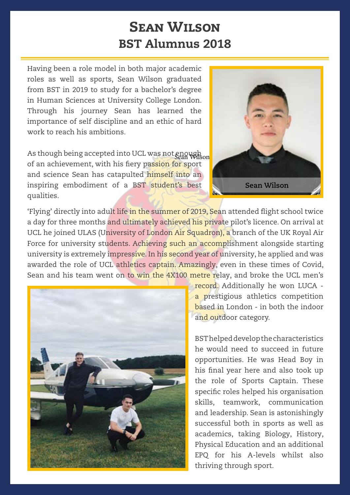## **SEAN WILSON** BST Alumnus 2018

Having been a role model in both major academic roles as well as sports, Sean Wilson graduated from BST in 2019 to study for a bachelor's degree in Human Sciences at University College London. Through his journey Sean has learned the importance of self discipline and an ethic of hard work to reach his ambitions.

As though being accepted into UCL was not enough on of an achievement, with his fiery passion for sport and science Sean has catapulted himself into an inspiring embodiment of a BST student's best qualities.



'Flying' directly into adult life in the summer of 2019, Sean attended flight school twice a day for three months and ultimately achieved his private pilot's licence. On arrival at UCL he joined ULAS (University of London Air Squadron), a branch of the UK Royal Air Force for university students. Achieving such an accomplishment alongside starting university is extremely impressive. In his second year of university, he applied and was awarded the role of UCL athletics captain. Amazingly, even in these times of Covid, Sean and his team went on to win the 4X100 metre relay, and broke the UCL men's



record. Additionally he won LUCA a prestigious athletics competition based in London - in both the indoor and outdoor category.

BST helped develop the characteristics he would need to succeed in future opportunities. He was Head Boy in his final year here and also took up the role of Sports Captain. These specific roles helped his organisation skills, teamwork, communication and leadership. Sean is astonishingly successful both in sports as well as academics, taking Biology, History, Physical Education and an additional EPQ for his A-levels whilst also thriving through sport.